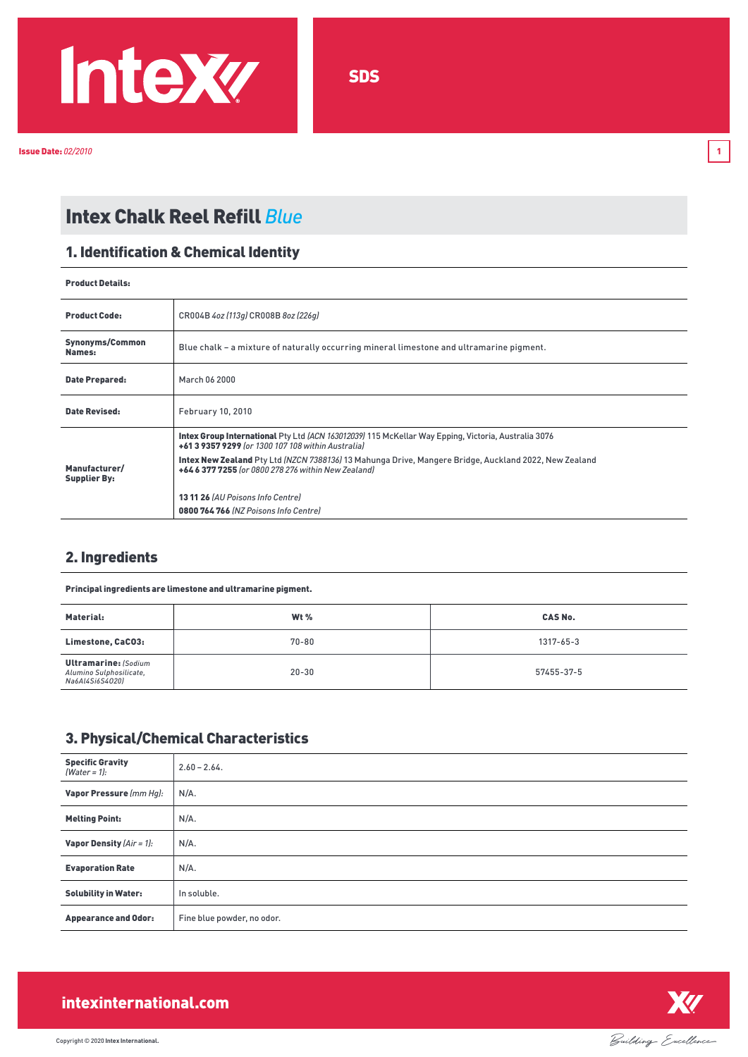

Issue Date: *02/2010* 1

# Intex Chalk Reel Refill *Blue*

#### 1. Identification & Chemical Identity

#### Product Details:

| <b>Product Code:</b>                 | CR004B 4oz (113q) CR008B 8oz (226q)                                                                                                                                                                                                                                                                                                                           |
|--------------------------------------|---------------------------------------------------------------------------------------------------------------------------------------------------------------------------------------------------------------------------------------------------------------------------------------------------------------------------------------------------------------|
| Synonyms/Common<br>Names:            | Blue chalk - a mixture of naturally occurring mineral limestone and ultramarine pigment.                                                                                                                                                                                                                                                                      |
| Date Prepared:                       | March 06 2000                                                                                                                                                                                                                                                                                                                                                 |
| <b>Date Revised:</b>                 | <b>February 10, 2010</b>                                                                                                                                                                                                                                                                                                                                      |
| Manufacturer/<br><b>Supplier By:</b> | Intex Group International Pty Ltd (ACN 163012039) 115 McKellar Way Epping, Victoria, Australia 3076<br>+61 3 9357 9299 for 1300 107 108 within Australial<br>Intex New Zealand Pty Ltd (NZCN 7388136) 13 Mahunga Drive, Mangere Bridge, Auckland 2022, New Zealand<br>+64 6 377 7255 (or 0800 278 276 within New Zealand)<br>1311 26 (AU Poisons Info Centre) |
|                                      | 0800764766 (NZ Poisons Info Centre)                                                                                                                                                                                                                                                                                                                           |

### 2. Ingredients

| Principal ingredients are limestone and ultramarine pigment.              |           |                 |
|---------------------------------------------------------------------------|-----------|-----------------|
| Material:                                                                 | Wt $%$    | <b>CAS No.</b>  |
| Limestone, CaCO3:                                                         | $70 - 80$ | $1317 - 65 - 3$ |
| <b>Ultramarine: (Sodium</b><br>Alumino Sulphosilicate,<br>Na6Al4Si6S40201 | $20 - 30$ | 57455-37-5      |

### 3. Physical/Chemical Characteristics

| <b>Specific Gravity</b><br>$[Water = 1]:$ | $2.60 - 2.64$ .            |
|-------------------------------------------|----------------------------|
| Vapor Pressure (mm Hg):                   | $N/A$ .                    |
| <b>Melting Point:</b>                     | $N/A$ .                    |
| <b>Vapor Density</b> $(Air = 1)$ :        | $N/A$ .                    |
| <b>Evaporation Rate</b>                   | $N/A$ .                    |
| <b>Solubility in Water:</b>               | In soluble.                |
| <b>Appearance and Odor:</b>               | Fine blue powder, no odor. |



# intexinternational.com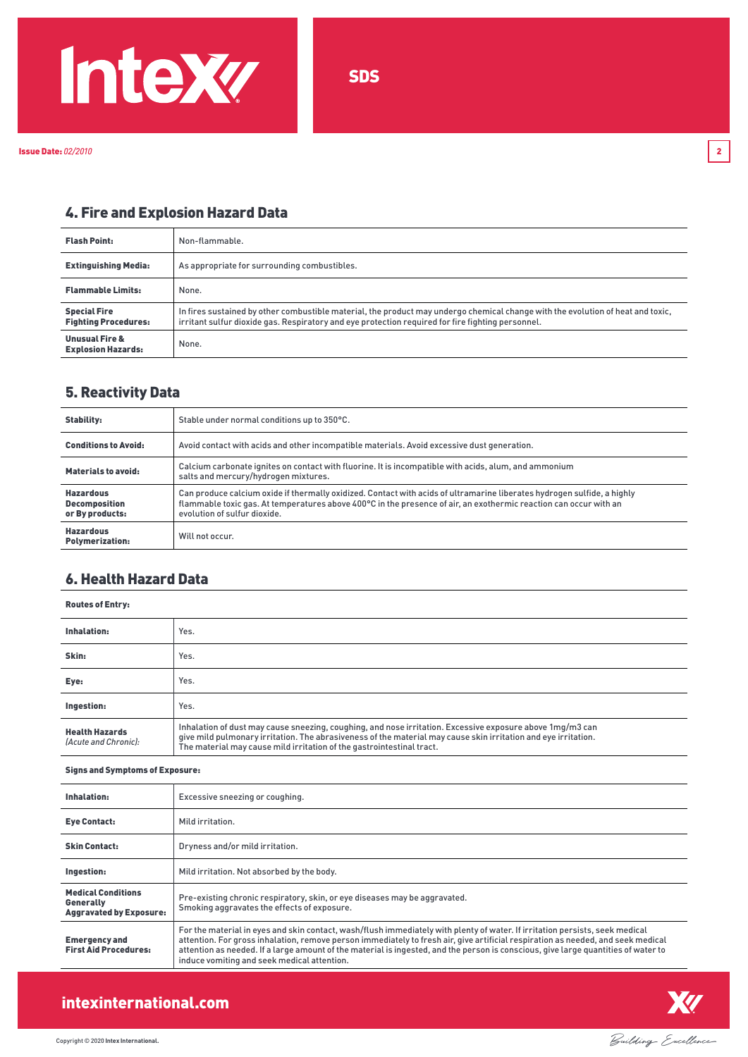

# 4. Fire and Explosion Hazard Data

| <b>Flash Point:</b>                                    | Non-flammable.                                                                                                                                                                                                                       |
|--------------------------------------------------------|--------------------------------------------------------------------------------------------------------------------------------------------------------------------------------------------------------------------------------------|
| <b>Extinguishing Media:</b>                            | As appropriate for surrounding combustibles.                                                                                                                                                                                         |
| <b>Flammable Limits:</b>                               | None.                                                                                                                                                                                                                                |
| <b>Special Fire</b><br><b>Fighting Procedures:</b>     | In fires sustained by other combustible material, the product may undergo chemical change with the evolution of heat and toxic,<br>irritant sulfur dioxide gas. Respiratory and eye protection required for fire fighting personnel. |
| <b>Unusual Fire &amp;</b><br><b>Explosion Hazards:</b> | None.                                                                                                                                                                                                                                |

#### 5. Reactivity Data

| <b>Stability:</b>                                           | Stable under normal conditions up to 350°C.                                                                                                                                                                                                                                  |
|-------------------------------------------------------------|------------------------------------------------------------------------------------------------------------------------------------------------------------------------------------------------------------------------------------------------------------------------------|
| <b>Conditions to Avoid:</b>                                 | Avoid contact with acids and other incompatible materials. Avoid excessive dust generation.                                                                                                                                                                                  |
| Materials to avoid:                                         | Calcium carbonate ignites on contact with fluorine. It is incompatible with acids, alum, and ammonium<br>salts and mercury/hydrogen mixtures.                                                                                                                                |
| <b>Hazardous</b><br><b>Decomposition</b><br>or By products: | Can produce calcium oxide if thermally oxidized. Contact with acids of ultramarine liberates hydrogen sulfide, a highly<br>flammable toxic gas. At temperatures above 400°C in the presence of air, an exothermic reaction can occur with an<br>evolution of sulfur dioxide. |
| <b>Hazardous</b><br><b>Polymerization:</b>                  | Will not occur.                                                                                                                                                                                                                                                              |

#### 6. Health Hazard Data

| <b>Routes of Entry:</b>                       |                                                                                                                                                                                                                                                                                                      |
|-----------------------------------------------|------------------------------------------------------------------------------------------------------------------------------------------------------------------------------------------------------------------------------------------------------------------------------------------------------|
| Inhalation:                                   | Yes.                                                                                                                                                                                                                                                                                                 |
| Skin:                                         | Yes.                                                                                                                                                                                                                                                                                                 |
| Eye:                                          | Yes.                                                                                                                                                                                                                                                                                                 |
| Ingestion:                                    | Yes.                                                                                                                                                                                                                                                                                                 |
| <b>Health Hazards</b><br>(Acute and Chronic): | Inhalation of dust may cause sneezing, coughing, and nose irritation. Excessive exposure above 1mg/m3 can<br>give mild pulmonary irritation. The abrasiveness of the material may cause skin irritation and eye irritation.<br>The material may cause mild irritation of the gastrointestinal tract. |

#### Signs and Symptoms of Exposure:

| Inhalation:                                                                     | Excessive sneezing or coughing.                                                                                                                                                                                                                                                                                                                                                                                                                       |
|---------------------------------------------------------------------------------|-------------------------------------------------------------------------------------------------------------------------------------------------------------------------------------------------------------------------------------------------------------------------------------------------------------------------------------------------------------------------------------------------------------------------------------------------------|
| <b>Eye Contact:</b>                                                             | Mild irritation.                                                                                                                                                                                                                                                                                                                                                                                                                                      |
| <b>Skin Contact:</b>                                                            | Dryness and/or mild irritation.                                                                                                                                                                                                                                                                                                                                                                                                                       |
| Ingestion:                                                                      | Mild irritation. Not absorbed by the body.                                                                                                                                                                                                                                                                                                                                                                                                            |
| <b>Medical Conditions</b><br><b>Generally</b><br><b>Aggravated by Exposure:</b> | Pre-existing chronic respiratory, skin, or eye diseases may be aggravated.<br>Smoking aggravates the effects of exposure.                                                                                                                                                                                                                                                                                                                             |
| <b>Emergency and</b><br><b>First Aid Procedures:</b>                            | For the material in eyes and skin contact, wash/flush immediately with plenty of water. If irritation persists, seek medical<br>attention. For gross inhalation, remove person immediately to fresh air, give artificial respiration as needed, and seek medical<br>attention as needed. If a large amount of the material is ingested, and the person is conscious, give large quantities of water to<br>induce vomiting and seek medical attention. |



## intexinternational.com